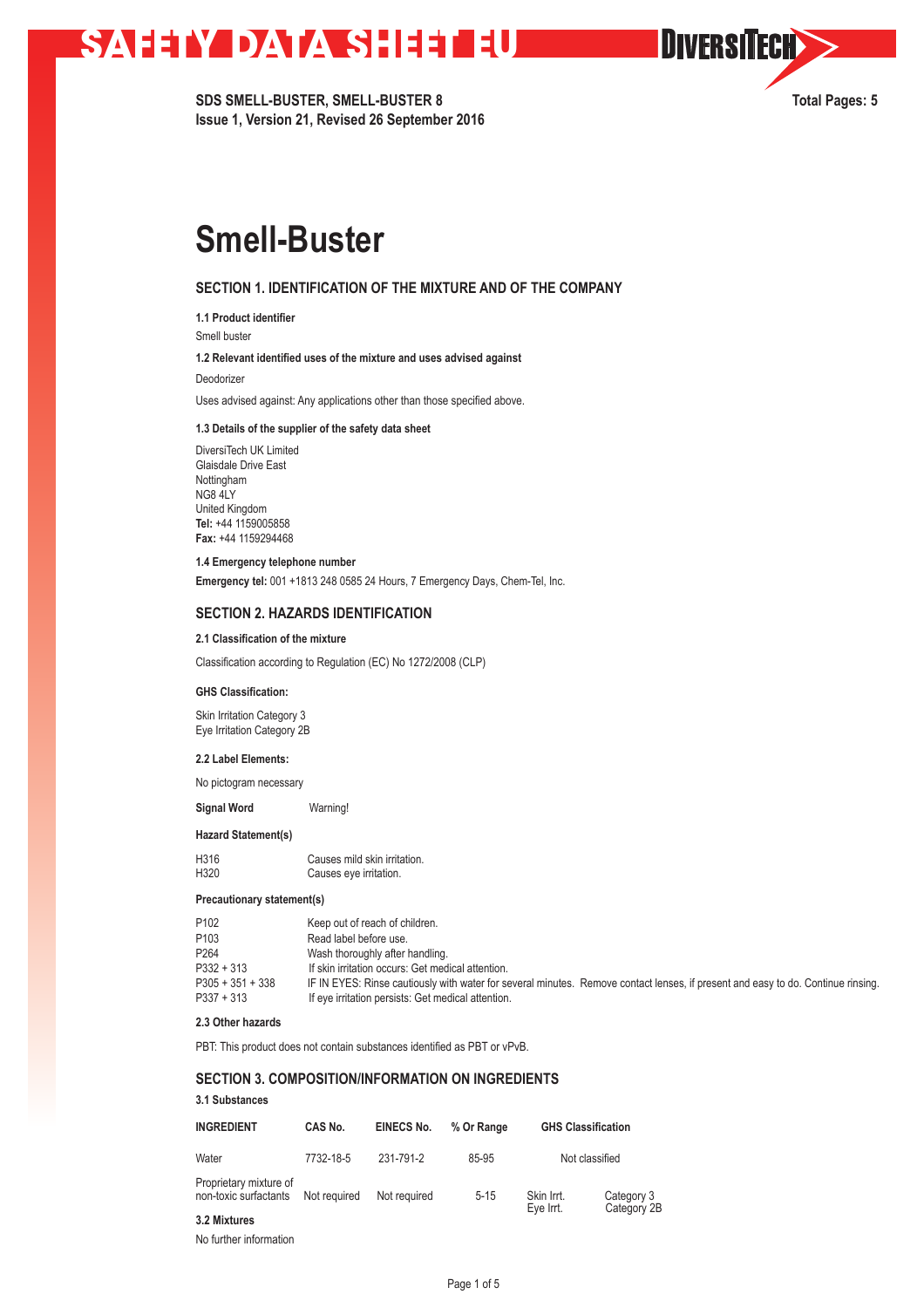# **SAFETY DATA SHEET EU**

**SDS SMELL-BUSTER, SMELL-BUSTER 8 Total Pages: 5 Issue 1, Version 21, Revised 26 September 2016**

**OIVERSITECH** 

# **Smell-Buster**

## **SECTION 1. IDENTIFICATION OF THE MIXTURE AND OF THE COMPANY**

**1.1 Product identifier** 

Smell buster

**1.2 Relevant identified uses of the mixture and uses advised against**

Deodorizer

Uses advised against: Any applications other than those specified above.

### **1.3 Details of the supplier of the safety data sheet**

DiversiTech UK Limited Glaisdale Drive East Nottingham NG8 4LY United Kingdom **Tel:** +44 1159005858 **Fax:** +44 1159294468

#### **1.4 Emergency telephone number**

**Emergency tel:** 001 +1813 248 0585 24 Hours, 7 Emergency Days, Chem-Tel, Inc.

### **SECTION 2. HAZARDS IDENTIFICATION**

## **2.1 Classification of the mixture**

Classification according to Regulation (EC) No 1272/2008 (CLP)

#### **GHS Classification:**

Skin Irritation Category 3 Eye Irritation Category 2B

### **2.2 Label Elements:**

No pictogram necessary

**Signal Word** Warning!

#### **Hazard Statement(s)**

| H316 | Causes mild skin irritation. |
|------|------------------------------|
| H320 | Causes eye irritation.       |

### **Precautionary statement(s)**

| P <sub>102</sub>                   | Keep out of reach of children.                                                                                                                                                         |
|------------------------------------|----------------------------------------------------------------------------------------------------------------------------------------------------------------------------------------|
| P <sub>103</sub>                   | Read label before use.                                                                                                                                                                 |
| P <sub>264</sub>                   | Wash thoroughly after handling.                                                                                                                                                        |
| $P332 + 313$                       | If skin irritation occurs: Get medical attention.                                                                                                                                      |
| $P305 + 351 + 338$<br>$P337 + 313$ | IF IN EYES: Rinse cautiously with water for several minutes. Remove contact lenses, if present and easy to do. Continue rinsing.<br>If eye irritation persists: Get medical attention. |

## **2.3 Other hazards**

PBT: This product does not contain substances identified as PBT or vPvB.

# **SECTION 3. COMPOSITION/INFORMATION ON INGREDIENTS**

## **3.1 Substances**

| <b>INGREDIENT</b>                               | CAS No.<br>7732-18-5 | EINECS No.<br>231-791-2 | % Or Range | <b>GHS Classification</b> |             |
|-------------------------------------------------|----------------------|-------------------------|------------|---------------------------|-------------|
| Water                                           |                      |                         | 85-95      | Not classified            |             |
| Proprietary mixture of<br>non-toxic surfactants | Not required         | Not required            | $5 - 15$   | Skin Irrt.                | Category 3  |
| 3.2 Mixtures                                    |                      |                         |            | Eve Int.                  | Category 2B |

No further information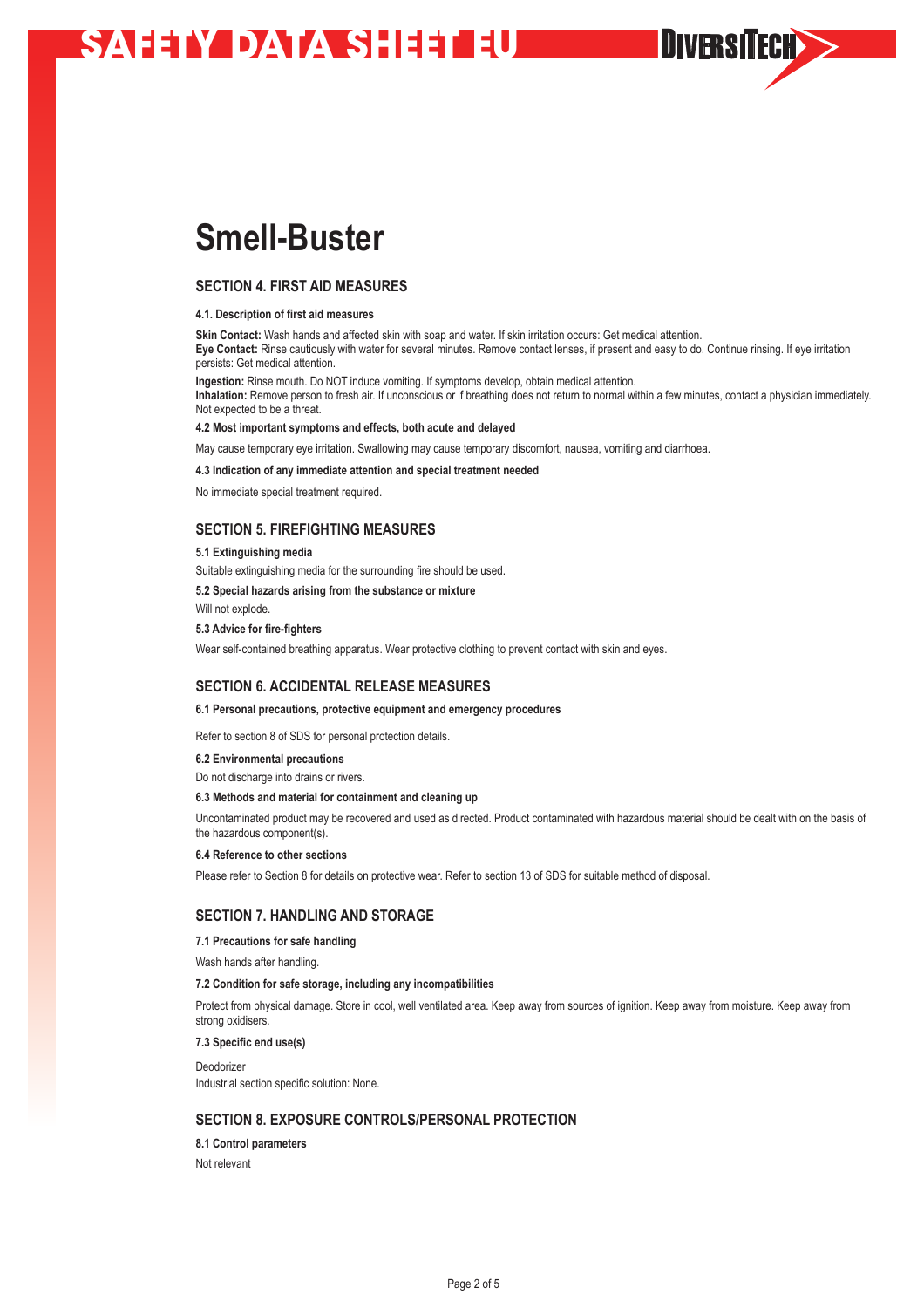# **SAFETY DATA SHEET EU**

# **Smell-Buster**

## **SECTION 4. FIRST AID MEASURES**

#### **4.1. Description of first aid measures**

**Skin Contact:** Wash hands and affected skin with soap and water. If skin irritation occurs: Get medical attention. **Eye Contact:** Rinse cautiously with water for several minutes. Remove contact lenses, if present and easy to do. Continue rinsing. If eye irritation persists: Get medical attention.

**DIVERSITECH>>** 

**Ingestion:** Rinse mouth. Do NOT induce vomiting. If symptoms develop, obtain medical attention. **Inhalation:** Remove person to fresh air. If unconscious or if breathing does not return to normal within a few minutes, contact a physician immediately. Not expected to be a threat.

#### **4.2 Most important symptoms and effects, both acute and delayed**

May cause temporary eye irritation. Swallowing may cause temporary discomfort, nausea, vomiting and diarrhoea.

#### **4.3 Indication of any immediate attention and special treatment needed**

No immediate special treatment required.

## **SECTION 5. FIREFIGHTING MEASURES**

#### **5.1 Extinguishing media**

Suitable extinguishing media for the surrounding fire should be used.

**5.2 Special hazards arising from the substance or mixture**

Will not explode.

#### **5.3 Advice for fire-fighters**

Wear self-contained breathing apparatus. Wear protective clothing to prevent contact with skin and eyes.

## **SECTION 6. ACCIDENTAL RELEASE MEASURES**

#### **6.1 Personal precautions, protective equipment and emergency procedures**

Refer to section 8 of SDS for personal protection details.

#### **6.2 Environmental precautions**

Do not discharge into drains or rivers.

#### **6.3 Methods and material for containment and cleaning up**

Uncontaminated product may be recovered and used as directed. Product contaminated with hazardous material should be dealt with on the basis of the hazardous component(s).

#### **6.4 Reference to other sections**

Please refer to Section 8 for details on protective wear. Refer to section 13 of SDS for suitable method of disposal.

## **SECTION 7. HANDLING AND STORAGE**

**7.1 Precautions for safe handling**

Wash hands after handling.

#### **7.2 Condition for safe storage, including any incompatibilities**

Protect from physical damage. Store in cool, well ventilated area. Keep away from sources of ignition. Keep away from moisture. Keep away from strong oxidisers.

**7.3 Specific end use(s)**

Deodorizer Industrial section specific solution: None.

## **SECTION 8. EXPOSURE CONTROLS/PERSONAL PROTECTION**

#### **8.1 Control parameters**

Not relevant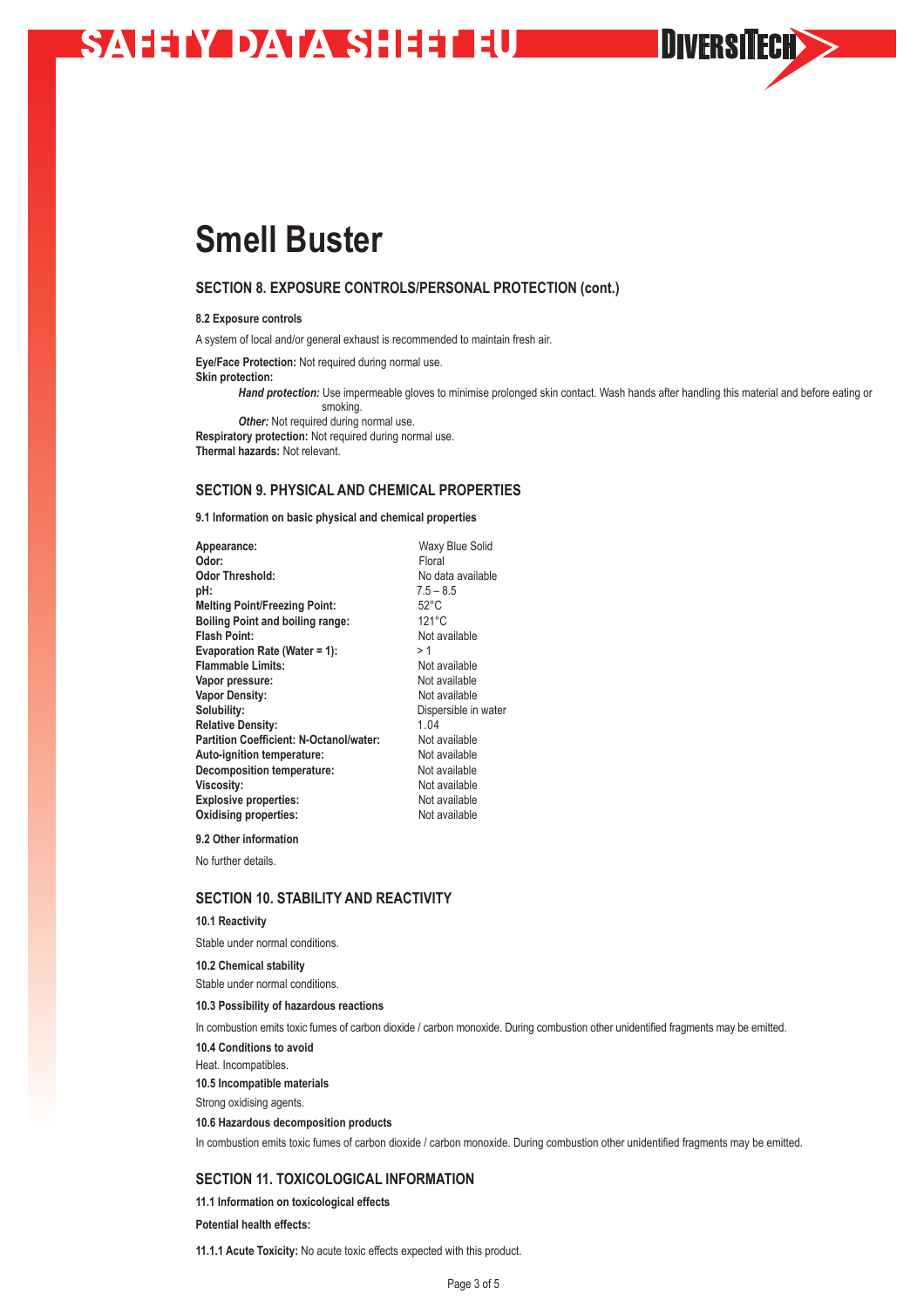# **SAHAY DATA SHEETHE**

# **Smell Buster**

## **SECTION 8. EXPOSURE CONTROLS/PERSONAL PROTECTION (cont.)**

**8.2 Exposure controls**

A system of local and/or general exhaust is recommended to maintain fresh air.

**Eye/Face Protection:** Not required during normal use.

**Skin protection:** 

*Hand protection:* Use impermeable gloves to minimise prolonged skin contact. Wash hands after handling this material and before eating or smoking.

**DIVERSITECH>>** 

**Other:** Not required during normal use. **Respiratory protection:** Not required during normal use. **Thermal hazards:** Not relevant.

## **SECTION 9. PHYSICAL AND CHEMICAL PROPERTIES**

**9.1 Information on basic physical and chemical properties**

| Appearance:                             | Waxy Blue Solid      |
|-----------------------------------------|----------------------|
| Odor:                                   | Floral               |
| Odor Threshold:                         | No data available    |
| pH:                                     | $7.5 - 8.5$          |
| <b>Melting Point/Freezing Point:</b>    | $52^{\circ}$ C       |
| <b>Boiling Point and boiling range:</b> | $121^{\circ}$ C      |
| Flash Point:                            | Not available        |
| <b>Evaporation Rate (Water = 1):</b>    | >1                   |
| <b>Flammable Limits:</b>                | Not available        |
| Vapor pressure:                         | Not available        |
| <b>Vapor Density:</b>                   | Not available        |
| Solubility:                             | Dispersible in water |
| <b>Relative Density:</b>                | 1.04                 |
| Partition Coefficient: N-Octanol/water: | Not available        |
| Auto-ignition temperature:              | Not available        |
| <b>Decomposition temperature:</b>       | Not available        |
| Viscosity:                              | Not available        |
| <b>Explosive properties:</b>            | Not available        |
| Oxidising properties:                   | Not available        |
|                                         |                      |

**9.2 Other information**

No further details.

# **SECTION 10. STABILITY AND REACTIVITY**

### **10.1 Reactivity**

Stable under normal conditions.

**10.2 Chemical stability** Stable under normal conditions.

**10.3 Possibility of hazardous reactions** 

In combustion emits toxic fumes of carbon dioxide / carbon monoxide. During combustion other unidentified fragments may be emitted.

**10.4 Conditions to avoid**

Heat. Incompatibles.

**10.5 Incompatible materials**

Strong oxidising agents.

**10.6 Hazardous decomposition products**

In combustion emits toxic fumes of carbon dioxide / carbon monoxide. During combustion other unidentified fragments may be emitted.

# **SECTION 11. TOXICOLOGICAL INFORMATION**

**11.1 Information on toxicological effects Potential health effects:**

**11.1.1 Acute Toxicity:** No acute toxic effects expected with this product.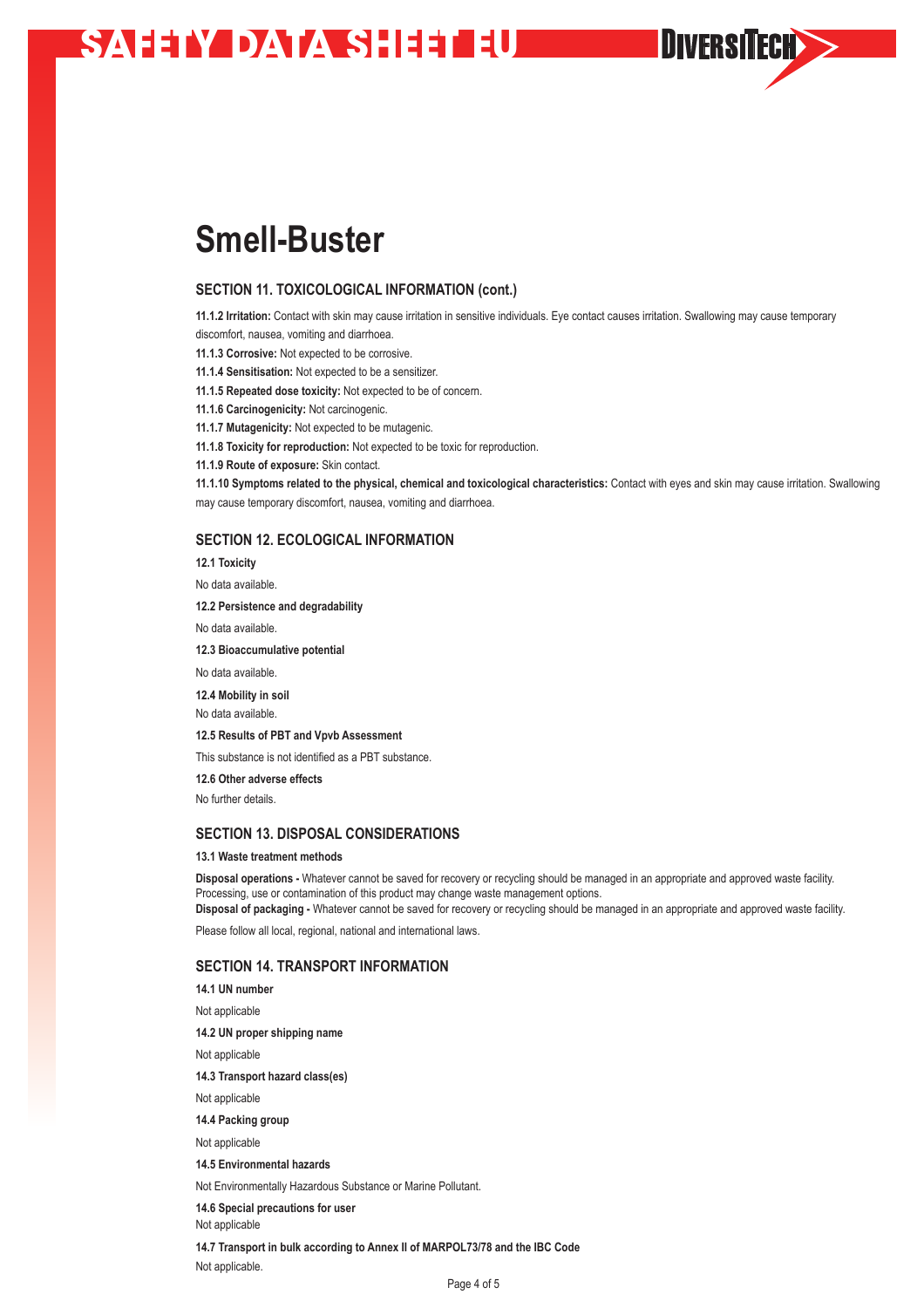# **SAHAY DATA SHEETHE**

# **Smell-Buster**

## **SECTION 11. TOXICOLOGICAL INFORMATION (cont.)**

**11.1.2 Irritation:** Contact with skin may cause irritation in sensitive individuals. Eye contact causes irritation. Swallowing may cause temporary discomfort, nausea, vomiting and diarrhoea.

**DIVERSITECH>>** 

**11.1.3 Corrosive:** Not expected to be corrosive.

**11.1.4 Sensitisation:** Not expected to be a sensitizer.

- **11.1.5 Repeated dose toxicity:** Not expected to be of concern.
- **11.1.6 Carcinogenicity:** Not carcinogenic.

**11.1.7 Mutagenicity:** Not expected to be mutagenic.

**11.1.8 Toxicity for reproduction:** Not expected to be toxic for reproduction.

**11.1.9 Route of exposure:** Skin contact.

**11.1.10 Symptoms related to the physical, chemical and toxicological characteristics:** Contact with eyes and skin may cause irritation. Swallowing may cause temporary discomfort, nausea, vomiting and diarrhoea.

## **SECTION 12. ECOLOGICAL INFORMATION**

**12.1 Toxicity**

No data available.

**12.2 Persistence and degradability**

No data available.

**12.3 Bioaccumulative potential**

No data available.

**12.4 Mobility in soil**

No data available.

**12.5 Results of PBT and Vpvb Assessment**

This substance is not identified as a PBT substance.

**12.6 Other adverse effects**

No further details.

## **SECTION 13. DISPOSAL CONSIDERATIONS**

### **13.1 Waste treatment methods**

**Disposal operations -** Whatever cannot be saved for recovery or recycling should be managed in an appropriate and approved waste facility. Processing, use or contamination of this product may change waste management options.

**Disposal of packaging -** Whatever cannot be saved for recovery or recycling should be managed in an appropriate and approved waste facility. Please follow all local, regional, national and international laws.

# **SECTION 14. TRANSPORT INFORMATION**

**14.1 UN number** Not applicable **14.2 UN proper shipping name** Not applicable **14.3 Transport hazard class(es)** Not applicable **14.4 Packing group** Not applicable **14.5 Environmental hazards** Not Environmentally Hazardous Substance or Marine Pollutant. **14.6 Special precautions for user** Not applicable

**14.7 Transport in bulk according to Annex II of MARPOL73/78 and the IBC Code** Not applicable.